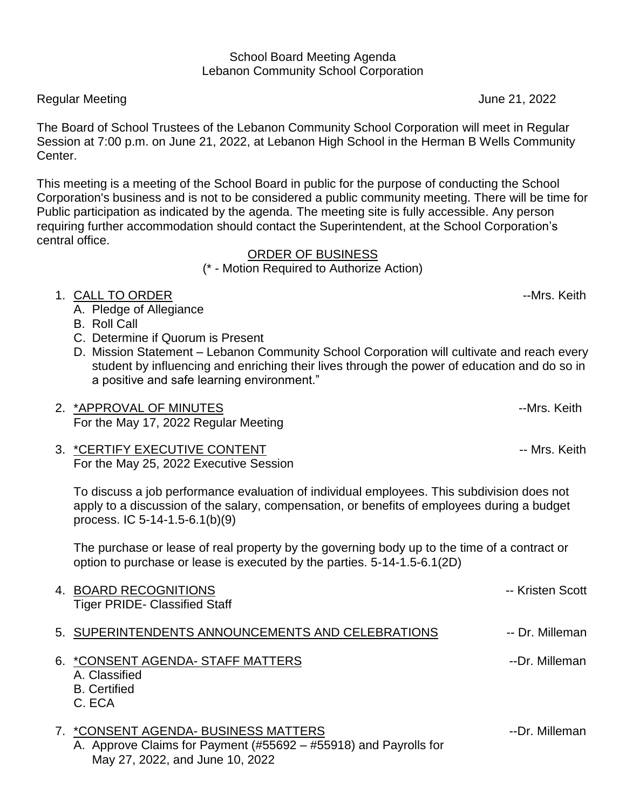#### School Board Meeting Agenda Lebanon Community School Corporation

### Regular Meeting Network and the second state of the second state of the second state of the second state of the second state  $\sim$  1022

The Board of School Trustees of the Lebanon Community School Corporation will meet in Regular Session at 7:00 p.m. on June 21, 2022, at Lebanon High School in the Herman B Wells Community Center.

This meeting is a meeting of the School Board in public for the purpose of conducting the School Corporation's business and is not to be considered a public community meeting. There will be time for Public participation as indicated by the agenda. The meeting site is fully accessible. Any person requiring further accommodation should contact the Superintendent, at the School Corporation's central office.

### ORDER OF BUSINESS

(\* - Motion Required to Authorize Action)

# 1. CALL TO ORDER  $-$ Mrs. Keith

- A. Pledge of Allegiance
- B. Roll Call
- C. Determine if Quorum is Present
- D. Mission Statement Lebanon Community School Corporation will cultivate and reach every student by influencing and enriching their lives through the power of education and do so in a positive and safe learning environment."
- 2. \*APPROVAL OF MINUTES **All any structure of the COVID-MINUTES** and the COVID-MINUTES For the May 17, 2022 Regular Meeting
- 3. \*CERTIFY EXECUTIVE CONTENT FOR THE SERVICE OF THE SERVICE SERVICE SERVICE SERVICE SERVICE SERVICE SERVICE S For the May 25, 2022 Executive Session

To discuss a job performance evaluation of individual employees. This subdivision does not apply to a discussion of the salary, compensation, or benefits of employees during a budget process. IC 5-14-1.5-6.1(b)(9)

The purchase or lease of real property by the governing body up to the time of a contract or option to purchase or lease is executed by the parties. 5-14-1.5-6.1(2D)

| 4. BOARD RECOGNITIONS<br><b>Tiger PRIDE- Classified Staff</b>                       | -- Kristen Scott |
|-------------------------------------------------------------------------------------|------------------|
| 5. SUPERINTENDENTS ANNOUNCEMENTS AND CELEBRATIONS                                   | -- Dr. Milleman  |
| 6. * CONSENT AGENDA-STAFF MATTERS<br>A. Classified<br><b>B.</b> Certified<br>C. ECA | --Dr. Milleman   |
| 7. *CONSENT AGENDA- BUSINESS MATTERS                                                | --Dr. Milleman   |

A. Approve Claims for Payment (#55692 – #55918) and Payrolls for May 27, 2022, and June 10, 2022